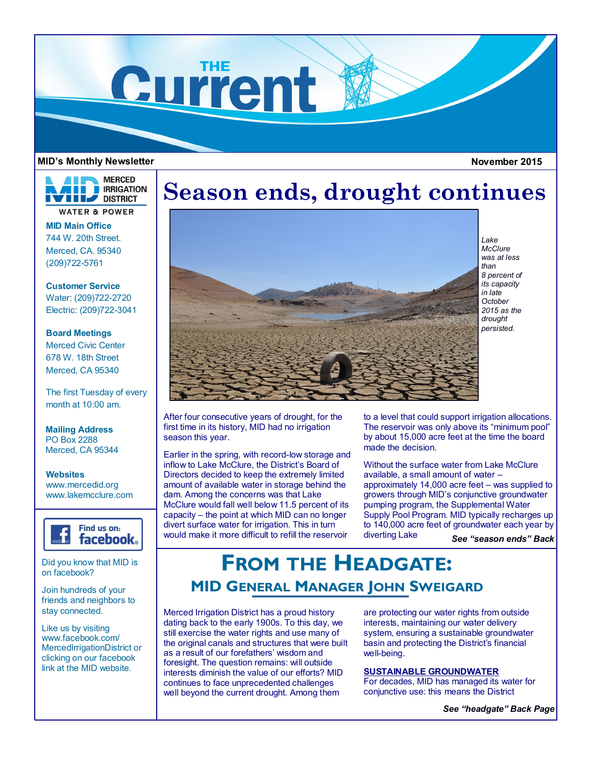

### **MID's Monthly Newsletter November 2015**

**MERCED IRRIGATION THE DISTRICT WATER & POWER** 

**MID Main Office** 744 W. 20th Street. Merced, CA. 95340 (209)722-5761

**Customer Service** Water: (209)722-2720 Electric: (209)722-3041

**Board Meetings** Merced Civic Center 678 W. 18th Street Merced, CA 95340

The first Tuesday of every month at 10:00 am.

**Mailing Address** PO Box 2288 Merced, CA 95344

**Websites** www.mercedid.org www.lakemcclure.com



Did you know that MID is on facebook?

Join hundreds of your friends and neighbors to stay connected.

Like us by visiting www.facebook.com/ MercedIrrigationDistrict or clicking on our facebook link at the MID website.

# **Season ends, drought continues**



*Lake McClure was at less than 8 percent of its capacity in late October 2015 as the drought persisted.*

After four consecutive years of drought, for the first time in its history, MID had no irrigation season this year.

Earlier in the spring, with record-low storage and inflow to Lake McClure, the District's Board of Directors decided to keep the extremely limited amount of available water in storage behind the dam. Among the concerns was that Lake McClure would fall well below 11.5 percent of its capacity – the point at which MID can no longer divert surface water for irrigation. This in turn would make it more difficult to refill the reservoir

to a level that could support irrigation allocations. The reservoir was only above its "minimum pool" by about 15,000 acre feet at the time the board made the decision.

Without the surface water from Lake McClure available, a small amount of water – approximately 14,000 acre feet – was supplied to growers through MID's conjunctive groundwater pumping program, the Supplemental Water Supply Pool Program. MID typically recharges up to 140,000 acre feet of groundwater each year by diverting Lake *See "season ends" Back* 

## **FROM THE HEADGATE: MID GENERAL MANAGER JOHN SWEIGARD**

Merced Irrigation District has a proud history dating back to the early 1900s. To this day, we still exercise the water rights and use many of the original canals and structures that were built as a result of our forefathers' wisdom and foresight. The question remains: will outside interests diminish the value of our efforts? MID continues to face unprecedented challenges well beyond the current drought. Among them

are protecting our water rights from outside interests, maintaining our water delivery system, ensuring a sustainable groundwater basin and protecting the District's financial well-being.

## **SUSTAINABLE GROUNDWATER**

For decades, MID has managed its water for conjunctive use: this means the District

*See "headgate" Back Page*